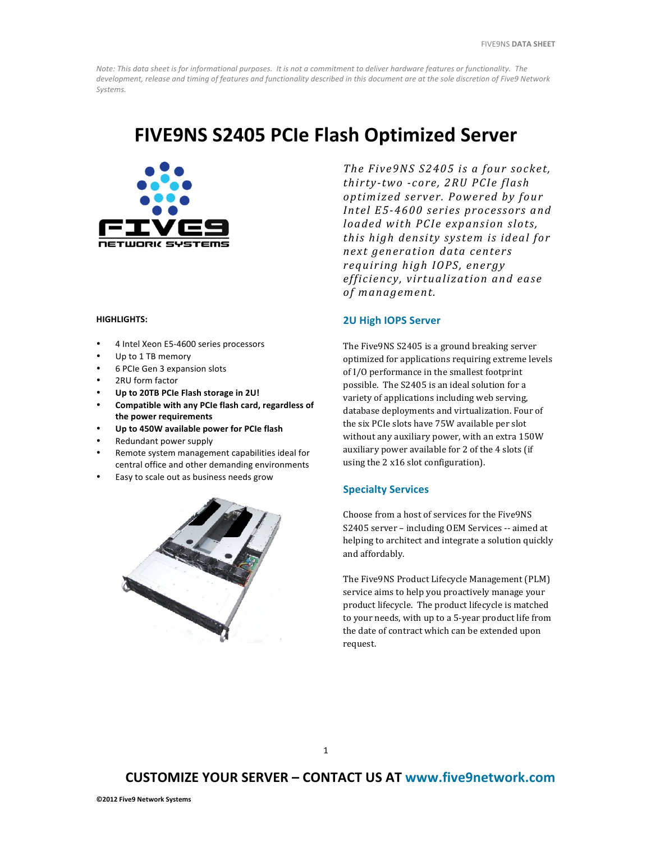Note: This data sheet is for informational purposes. It is not a commitment to deliver hardware features or functionality. The development, release and timing of features and functionality described in this document are at the sole discretion of Five9 Network *Systems.* 

## **FIVE9NS S2405 PCIe Flash Optimized Server**



#### **HIGHLIGHTS:**

- 4 Intel Xeon E5-4600 series processors
- Up to 1 TB memory
- 6 PCIe Gen 3 expansion slots
- 2RU form factor
- **Up to 20TB PCIe Flash storage in 2U!**
- Compatible with any PCIe flash card, regardless of the power requirements
- Up to 450W available power for PCIe flash
- Redundant power supply
- Remote system management capabilities ideal for central office and other demanding environments
- Easy to scale out as business needs grow



*The Five9NS S2405 is a four socket, thirty-two -core, 2RU PCIe flash optimized server . Powered by four Intel E5-4600 series processors and loaded with PCIe expansion slots, this high density system is ideal for next generation data centers requiring high IOPS, energy efficiency, virtualization and ease*  of management.

#### **2U High IOPS Server**

The Five9NS S2405 is a ground breaking server optimized for applications requiring extreme levels of I/O performance in the smallest footprint possible. The S2405 is an ideal solution for a variety of applications including web serving, database deployments and virtualization. Four of the six PCIe slots have 75W available per slot without any auxiliary power, with an extra 150W auxiliary power available for 2 of the 4 slots (if using the 2 x16 slot configuration).

#### **Specialty Services**

Choose from a host of services for the Five9NS S2405 server - including OEM Services -- aimed at helping to architect and integrate a solution quickly and affordably.

The Five9NS Product Lifecycle Management (PLM) service aims to help you proactively manage your product lifecycle. The product lifecycle is matched to your needs, with up to a 5-year product life from the date of contract which can be extended upon request. 

### **CUSTOMIZE YOUR SERVER – CONTACT US AT www.five9network.com**